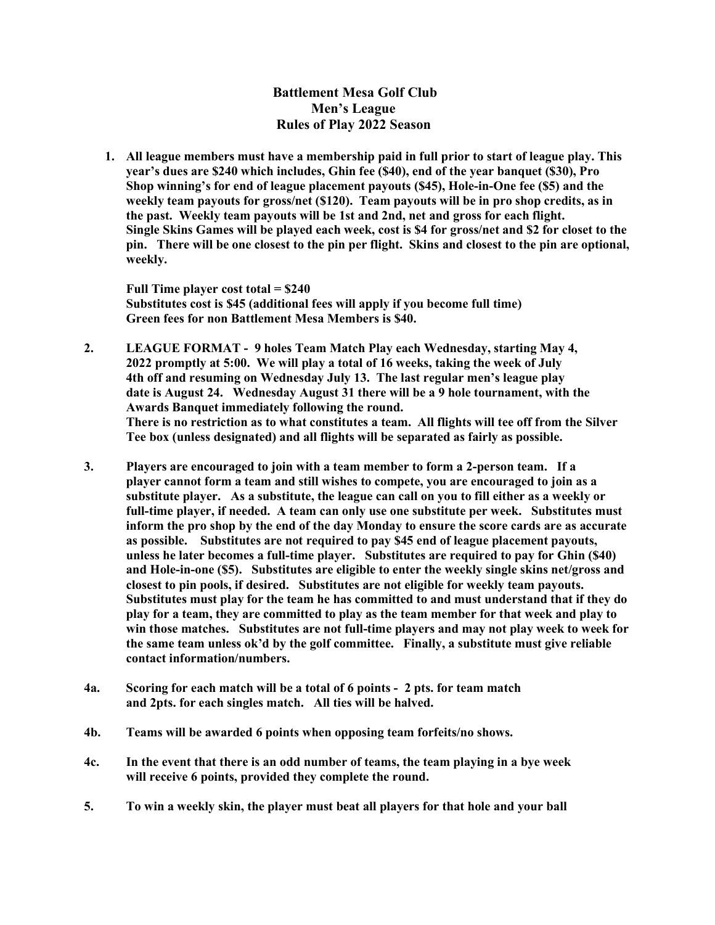Battlement Mesa Golf Club Men's League Rules of Play 2022 Season

1. All league members must have a membership paid in full prior to start of league play. This year's dues are \$240 which includes, Ghin fee (\$40), end of the year banquet (\$30), Pro Shop winning's for end of league placement payouts (\$45), Hole-in-One fee (\$5) and the weekly team payouts for gross/net (\$120). Team payouts will be in pro shop credits, as in the past. Weekly team payouts will be 1st and 2nd, net and gross for each flight. Single Skins Games will be played each week, cost is \$4 for gross/net and \$2 for closet to the pin. There will be one closest to the pin per flight. Skins and closest to the pin are optional, weekly.

Full Time player cost total = \$240 Substitutes cost is \$45 (additional fees will apply if you become full time) Green fees for non Battlement Mesa Members is \$40.

- 2. LEAGUE FORMAT 9 holes Team Match Play each Wednesday, starting May 4, 2022 promptly at 5:00. We will play a total of 16 weeks, taking the week of July 4th off and resuming on Wednesday July 13. The last regular men's league play date is August 24. Wednesday August 31 there will be a 9 hole tournament, with the Awards Banquet immediately following the round. There is no restriction as to what constitutes a team. All flights will tee off from the Silver Tee box (unless designated) and all flights will be separated as fairly as possible.
- 3. Players are encouraged to join with a team member to form a 2-person team. If a player cannot form a team and still wishes to compete, you are encouraged to join as a substitute player. As a substitute, the league can call on you to fill either as a weekly or full-time player, if needed. A team can only use one substitute per week. Substitutes must inform the pro shop by the end of the day Monday to ensure the score cards are as accurate as possible. Substitutes are not required to pay \$45 end of league placement payouts, unless he later becomes a full-time player. Substitutes are required to pay for Ghin (\$40) and Hole-in-one (\$5). Substitutes are eligible to enter the weekly single skins net/gross and closest to pin pools, if desired. Substitutes are not eligible for weekly team payouts. Substitutes must play for the team he has committed to and must understand that if they do play for a team, they are committed to play as the team member for that week and play to win those matches. Substitutes are not full-time players and may not play week to week for the same team unless ok'd by the golf committee. Finally, a substitute must give reliable contact information/numbers.
- 4a. Scoring for each match will be a total of 6 points 2 pts. for team match and 2pts. for each singles match. All ties will be halved.
- 4b. Teams will be awarded 6 points when opposing team forfeits/no shows.
- 4c. In the event that there is an odd number of teams, the team playing in a bye week will receive 6 points, provided they complete the round.
- 5. To win a weekly skin, the player must beat all players for that hole and your ball